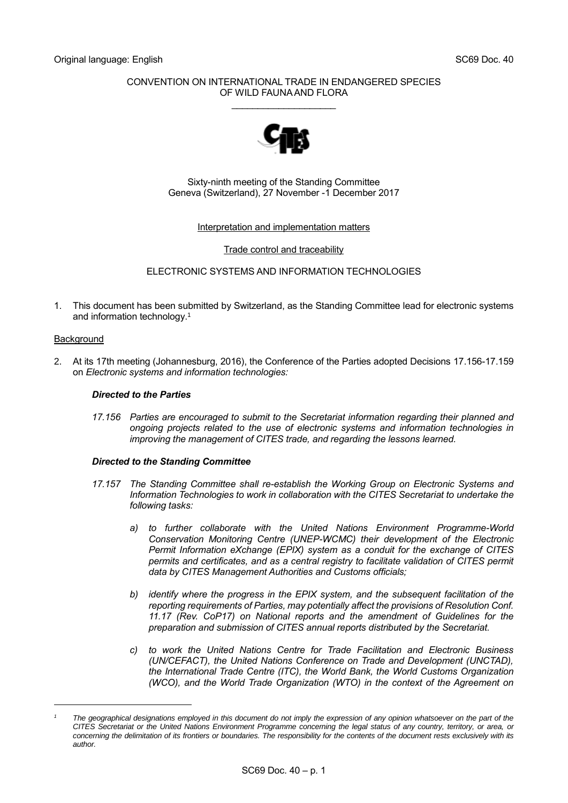## CONVENTION ON INTERNATIONAL TRADE IN ENDANGERED SPECIES OF WILD FAUNA AND FLORA

\_\_\_\_\_\_\_\_\_\_\_\_\_\_\_\_\_\_\_\_



Sixty-ninth meeting of the Standing Committee Geneva (Switzerland), 27 November -1 December 2017

## Interpretation and implementation matters

Trade control and traceability

ELECTRONIC SYSTEMS AND INFORMATION TECHNOLOGIES

1. This document has been submitted by Switzerland, as the Standing Committee lead for electronic systems and information technology. 1

#### **Background**

-

2. At its 17th meeting (Johannesburg, 2016), the Conference of the Parties adopted Decisions 17.156-17.159 on *Electronic systems and information technologies:*

## *Directed to the Parties*

*17.156 Parties are encouraged to submit to the Secretariat information regarding their planned and ongoing projects related to the use of electronic systems and information technologies in improving the management of CITES trade, and regarding the lessons learned.*

#### *Directed to the Standing Committee*

- *17.157 The Standing Committee shall re-establish the Working Group on Electronic Systems and Information Technologies to work in collaboration with the CITES Secretariat to undertake the following tasks:*
	- *a) to further collaborate with the United Nations Environment Programme-World Conservation Monitoring Centre (UNEP-WCMC) their development of the Electronic Permit Information eXchange (EPIX) system as a conduit for the exchange of CITES permits and certificates, and as a central registry to facilitate validation of CITES permit data by CITES Management Authorities and Customs officials;*
	- *b) identify where the progress in the EPIX system, and the subsequent facilitation of the reporting requirements of Parties, may potentially affect the provisions of Resolution Conf. 11.17 (Rev. CoP17) on National reports and the amendment of Guidelines for the preparation and submission of CITES annual reports distributed by the Secretariat.*
	- *c) to work the United Nations Centre for Trade Facilitation and Electronic Business (UN/CEFACT), the United Nations Conference on Trade and Development (UNCTAD), the International Trade Centre (ITC), the World Bank, the World Customs Organization (WCO), and the World Trade Organization (WTO) in the context of the Agreement on*

*<sup>1</sup> The geographical designations employed in this document do not imply the expression of any opinion whatsoever on the part of the CITES Secretariat or the United Nations Environment Programme concerning the legal status of any country, territory, or area, or concerning the delimitation of its frontiers or boundaries. The responsibility for the contents of the document rests exclusively with its author.*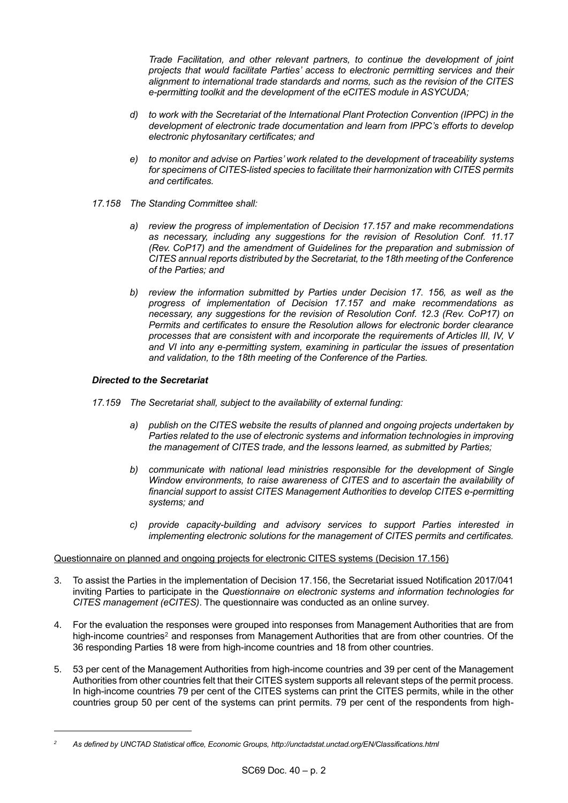*Trade Facilitation, and other relevant partners, to continue the development of joint projects that would facilitate Parties' access to electronic permitting services and their alignment to international trade standards and norms, such as the revision of the CITES e-permitting toolkit and the development of the eCITES module in ASYCUDA;*

- *d) to work with the Secretariat of the International Plant Protection Convention (IPPC) in the development of electronic trade documentation and learn from IPPC's efforts to develop electronic phytosanitary certificates; and*
- *e) to monitor and advise on Parties' work related to the development of traceability systems for specimens of CITES-listed species to facilitate their harmonization with CITES permits and certificates.*
- *17.158 The Standing Committee shall:* 
	- *a) review the progress of implementation of Decision 17.157 and make recommendations as necessary, including any suggestions for the revision of Resolution Conf. 11.17 (Rev. CoP17) and the amendment of Guidelines for the preparation and submission of CITES annual reports distributed by the Secretariat, to the 18th meeting of the Conference of the Parties; and*
	- *b) review the information submitted by Parties under Decision 17. 156, as well as the progress of implementation of Decision 17.157 and make recommendations as necessary, any suggestions for the revision of Resolution Conf. 12.3 (Rev. CoP17) on Permits and certificates to ensure the Resolution allows for electronic border clearance processes that are consistent with and incorporate the requirements of Articles III, IV, V and VI into any e-permitting system, examining in particular the issues of presentation and validation, to the 18th meeting of the Conference of the Parties.*

## *Directed to the Secretariat*

1

- *17.159 The Secretariat shall, subject to the availability of external funding:*
	- *a) publish on the CITES website the results of planned and ongoing projects undertaken by Parties related to the use of electronic systems and information technologies in improving the management of CITES trade, and the lessons learned, as submitted by Parties;*
	- *b) communicate with national lead ministries responsible for the development of Single Window environments, to raise awareness of CITES and to ascertain the availability of financial support to assist CITES Management Authorities to develop CITES e-permitting systems; and*
	- *c) provide capacity-building and advisory services to support Parties interested in implementing electronic solutions for the management of CITES permits and certificates.*

#### Questionnaire on planned and ongoing projects for electronic CITES systems (Decision 17.156)

- 3. To assist the Parties in the implementation of Decision 17.156, the Secretariat issued Notification 2017/041 inviting Parties to participate in the *[Questionnaire on electronic systems and information technologies for](https://cites.org/sites/default/files/notif/E-Notif-2017-041.pdf)  [CITES management \(eCITES\)](https://cites.org/sites/default/files/notif/E-Notif-2017-041.pdf)*. The questionnaire was conducted as an online survey.
- 4. For the evaluation the responses were grouped into responses from Management Authorities that are from high-income countries<sup>2</sup> and responses from Management Authorities that are from other countries. Of the 36 responding Parties 18 were from high-income countries and 18 from other countries.
- 5. 53 per cent of the Management Authorities from high-income countries and 39 per cent of the Management Authorities from other countries felt that their CITES system supports all relevant steps of the permit process. In high-income countries 79 per cent of the CITES systems can print the CITES permits, while in the other countries group 50 per cent of the systems can print permits. 79 per cent of the respondents from high-

*<sup>2</sup> As defined by UNCTAD Statistical office, Economic Groups, http://unctadstat.unctad.org/EN/Classifications.html*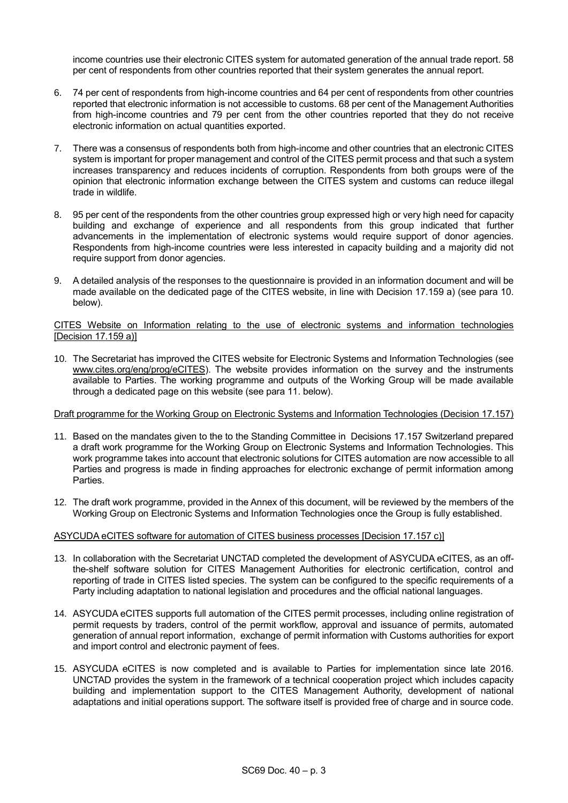income countries use their electronic CITES system for automated generation of the annual trade report. 58 per cent of respondents from other countries reported that their system generates the annual report.

- 6. 74 per cent of respondents from high-income countries and 64 per cent of respondents from other countries reported that electronic information is not accessible to customs. 68 per cent of the Management Authorities from high-income countries and 79 per cent from the other countries reported that they do not receive electronic information on actual quantities exported.
- 7. There was a consensus of respondents both from high-income and other countries that an electronic CITES system is important for proper management and control of the CITES permit process and that such a system increases transparency and reduces incidents of corruption. Respondents from both groups were of the opinion that electronic information exchange between the CITES system and customs can reduce illegal trade in wildlife.
- 8. 95 per cent of the respondents from the other countries group expressed high or very high need for capacity building and exchange of experience and all respondents from this group indicated that further advancements in the implementation of electronic systems would require support of donor agencies. Respondents from high-income countries were less interested in capacity building and a majority did not require support from donor agencies.
- 9. A detailed analysis of the responses to the questionnaire is provided in an information document and will be made available on the dedicated page of the CITES website, in line with Decision 17.159 a) (see para 10. below).

## CITES Website on Information relating to the use of electronic systems and information technologies [Decision 17.159 a)]

10. The Secretariat has improved the CITES website for Electronic Systems and Information Technologies (see [www.cites.org/eng/prog/eCITES\)](http://www.cites.org/eng/prog/eCITES). The website provides information on the survey and the instruments available to Parties. The working programme and outputs of the Working Group will be made available through a dedicated page on this website (see para 11. below).

# Draft programme for the Working Group on Electronic Systems and Information Technologies (Decision 17.157)

- 11. Based on the mandates given to the to the Standing Committee in Decisions 17.157 Switzerland prepared a draft work programme for the Working Group on Electronic Systems and Information Technologies. This work programme takes into account that electronic solutions for CITES automation are now accessible to all Parties and progress is made in finding approaches for electronic exchange of permit information among Parties.
- 12. The draft work programme, provided in the Annex of this document, will be reviewed by the members of the Working Group on Electronic Systems and Information Technologies once the Group is fully established.

# ASYCUDA eCITES software for automation of CITES business processes [Decision 17.157 c)]

- 13. In collaboration with the Secretariat UNCTAD completed the development of ASYCUDA eCITES, as an offthe-shelf software solution for CITES Management Authorities for electronic certification, control and reporting of trade in CITES listed species. The system can be configured to the specific requirements of a Party including adaptation to national legislation and procedures and the official national languages.
- 14. ASYCUDA eCITES supports full automation of the CITES permit processes, including online registration of permit requests by traders, control of the permit workflow, approval and issuance of permits, automated generation of annual report information, exchange of permit information with Customs authorities for export and import control and electronic payment of fees.
- 15. ASYCUDA eCITES is now completed and is available to Parties for implementation since late 2016. UNCTAD provides the system in the framework of a technical cooperation project which includes capacity building and implementation support to the CITES Management Authority, development of national adaptations and initial operations support. The software itself is provided free of charge and in source code.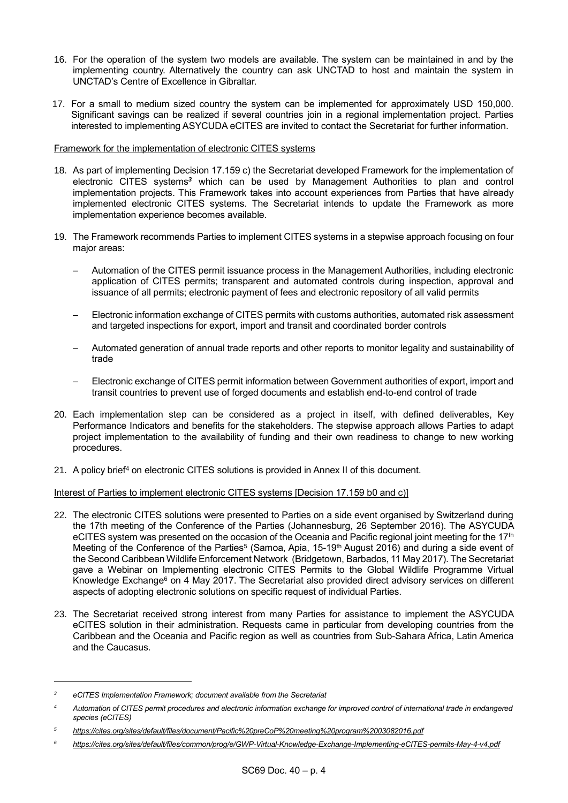- 16. For the operation of the system two models are available. The system can be maintained in and by the implementing country. Alternatively the country can ask UNCTAD to host and maintain the system in UNCTAD's Centre of Excellence in Gibraltar.
- 17. For a small to medium sized country the system can be implemented for approximately USD 150,000. Significant savings can be realized if several countries join in a regional implementation project. Parties interested to implementing ASYCUDA eCITES are invited to contact the Secretariat for further information.

## Framework for the implementation of electronic CITES systems

- 18. As part of implementing Decision 17.159 c) the Secretariat developed Framework for the implementation of electronic CITES systems*<sup>3</sup>* which can be used by Management Authorities to plan and control implementation projects. This Framework takes into account experiences from Parties that have already implemented electronic CITES systems. The Secretariat intends to update the Framework as more implementation experience becomes available.
- 19. The Framework recommends Parties to implement CITES systems in a stepwise approach focusing on four major areas:
	- Automation of the CITES permit issuance process in the Management Authorities, including electronic application of CITES permits; transparent and automated controls during inspection, approval and issuance of all permits; electronic payment of fees and electronic repository of all valid permits
	- Electronic information exchange of CITES permits with customs authorities, automated risk assessment and targeted inspections for export, import and transit and coordinated border controls
	- Automated generation of annual trade reports and other reports to monitor legality and sustainability of trade
	- Electronic exchange of CITES permit information between Government authorities of export, import and transit countries to prevent use of forged documents and establish end-to-end control of trade
- 20. Each implementation step can be considered as a project in itself, with defined deliverables, Key Performance Indicators and benefits for the stakeholders. The stepwise approach allows Parties to adapt project implementation to the availability of funding and their own readiness to change to new working procedures.
- 21. A policy brief<sup>4</sup> on electronic CITES solutions is provided in Annex II of this document.

### Interest of Parties to implement electronic CITES systems [Decision 17.159 b0 and c)]

- 22. The electronic CITES solutions were presented to Parties on a side event organised by Switzerland during the 17th meeting of the Conference of the Parties (Johannesburg, 26 September 2016). The ASYCUDA eCITES system was presented on the occasion of the Oceania and Pacific regional joint meeting for the 17<sup>th</sup> Meeting of the Conference of the Parties<sup>5</sup> (Samoa, Apia, 15-19<sup>th</sup> August 2016) and during a side event of the Second Caribbean Wildlife Enforcement Network (Bridgetown, Barbados, 11 May 2017). The Secretariat gave a Webinar on Implementing electronic CITES Permits to the Global Wildlife Programme Virtual Knowledge Exchange<sup>6</sup> on 4 May 2017. The Secretariat also provided direct advisory services on different aspects of adopting electronic solutions on specific request of individual Parties.
- 23. The Secretariat received strong interest from many Parties for assistance to implement the ASYCUDA eCITES solution in their administration. Requests came in particular from developing countries from the Caribbean and the Oceania and Pacific region as well as countries from Sub-Sahara Africa, Latin America and the Caucasus.

1

*<sup>3</sup> eCITES Implementation Framework; document available from the Secretariat*

*<sup>4</sup> Automation of CITES permit procedures and electronic information exchange for improved control of international trade in endangered species (eCITES)*

*<sup>5</sup> <https://cites.org/sites/default/files/document/Pacific%20preCoP%20meeting%20program%2003082016.pdf>*

*<sup>6</sup> <https://cites.org/sites/default/files/common/prog/e/GWP-Virtual-Knowledge-Exchange-Implementing-eCITES-permits-May-4-v4.pdf>*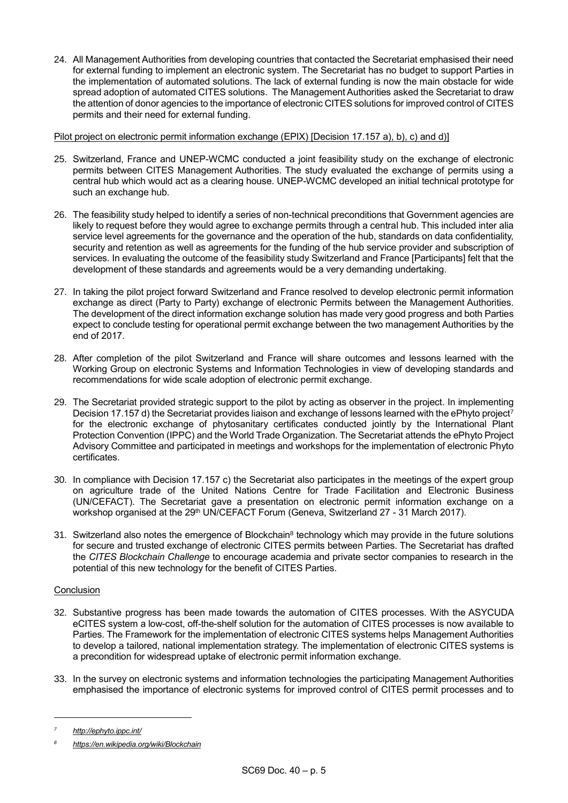24. All Management Authorities from developing countries that contacted the Secretariat emphasised their need for external funding to implement an electronic system. The Secretariat has no budget to support Parties in the implementation of automated solutions. The lack of external funding is now the main obstacle for wide spread adoption of automated CITES solutions. The Management Authorities asked the Secretariat to draw the attention of donor agencies to the importance of electronic CITES solutions for improved control of CITES permits and their need for external funding.

Pilot project on electronic permit information exchange (EPIX) [Decision 17.157 a), b), c) and d)]

- 25. Switzerland, France and UNEP-WCMC conducted a joint feasibility study on the exchange of electronic permits between CITES Management Authorities. The study evaluated the exchange of permits using a central hub which would act as a clearing house. UNEP-WCMC developed an initial technical prototype for such an exchange hub.
- 26. The feasibility study helped to identify a series of non-technical preconditions that Government agencies are likely to request before they would agree to exchange permits through a central hub. This included inter alia service level agreements for the governance and the operation of the hub, standards on data confidentiality, security and retention as well as agreements for the funding of the hub service provider and subscription of services. In evaluating the outcome of the feasibility study Switzerland and France [Participants] felt that the development of these standards and agreements would be a very demanding undertaking.
- 27. In taking the pilot project forward Switzerland and France resolved to develop electronic permit information exchange as direct (Party to Party) exchange of electronic Permits between the Management Authorities. The development of the direct information exchange solution has made very good progress and both Parties expect to conclude testing for operational permit exchange between the two management Authorities by the end of 2017.
- 28. After completion of the pilot Switzerland and France will share outcomes and lessons learned with the Working Group on electronic Systems and Information Technologies in view of developing standards and recommendations for wide scale adoption of electronic permit exchange.
- 29. The Secretariat provided strategic support to the pilot by acting as observer in the project. In implementing Decision 17.157 d) the Secretariat provides liaison and exchange of lessons learned with the ePhyto project<sup>7</sup> for the electronic exchange of phytosanitary certificates conducted jointly by the International Plant Protection Convention (IPPC) and the World Trade Organization. The Secretariat attends the ePhyto Project Advisory Committee and participated in meetings and workshops for the implementation of electronic Phyto certificates.
- 30. In compliance with Decision 17.157 c) the Secretariat also participates in the meetings of the expert group on agriculture trade of the United Nations Centre for Trade Facilitation and Electronic Business (UN/CEFACT). The Secretariat gave a presentation on electronic permit information exchange on a workshop organised at the 29<sup>th</sup> UN/CEFACT Forum (Geneva, Switzerland 27 - 31 March 2017).
- 31. Switzerland also notes the emergence of Blockchain<sup>8</sup> technology which may provide in the future solutions for secure and trusted exchange of electronic CITES permits between Parties. The Secretariat has drafted the *CITES Blockchain Challenge* to encourage academia and private sector companies to research in the potential of this new technology for the benefit of CITES Parties.

# Conclusion

- 32. Substantive progress has been made towards the automation of CITES processes. With the ASYCUDA eCITES system a low-cost, off-the-shelf solution for the automation of CITES processes is now available to Parties. The Framework for the implementation of electronic CITES systems helps Management Authorities to develop a tailored, national implementation strategy. The implementation of electronic CITES systems is a precondition for widespread uptake of electronic permit information exchange.
- 33. In the survey on [electronic systems and information technologies the](https://cites.org/sites/default/files/notif/E-Notif-2017-041.pdf) participating Management Authorities emphasised the importance of electronic systems for improved control of CITES permit processes and to

1

*<sup>7</sup> <http://ephyto.ippc.int/>*

*<sup>8</sup> <https://en.wikipedia.org/wiki/Blockchain>*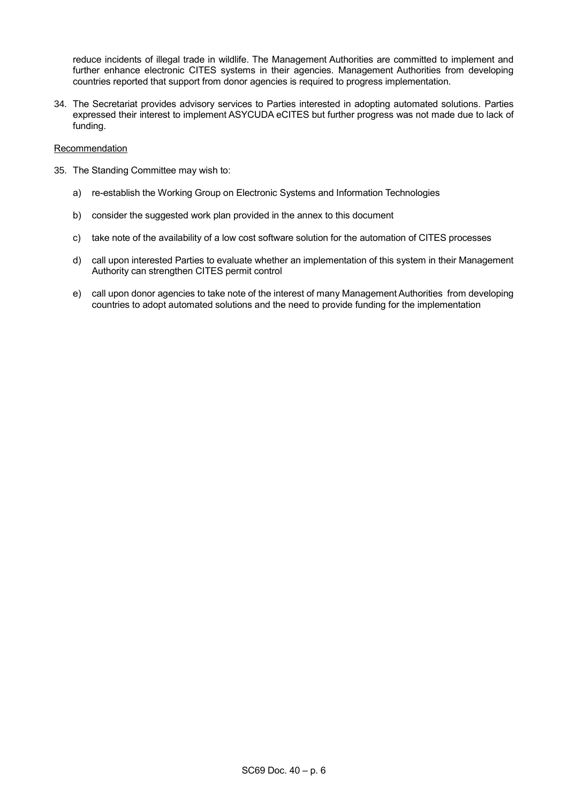reduce incidents of illegal trade in wildlife. The Management Authorities are committed to implement and further enhance electronic CITES systems in their agencies. Management Authorities from developing countries reported that support from donor agencies is required to progress implementation.

34. The Secretariat provides advisory services to Parties interested in adopting automated solutions. Parties expressed their interest to implement ASYCUDA eCITES but further progress was not made due to lack of funding.

### **Recommendation**

- 35. The Standing Committee may wish to:
	- a) re-establish the Working Group on Electronic Systems and Information Technologies
	- b) consider the suggested work plan provided in the annex to this document
	- c) take note of the availability of a low cost software solution for the automation of CITES processes
	- d) call upon interested Parties to evaluate whether an implementation of this system in their Management Authority can strengthen CITES permit control
	- e) call upon donor agencies to take note of the interest of many Management Authorities from developing countries to adopt automated solutions and the need to provide funding for the implementation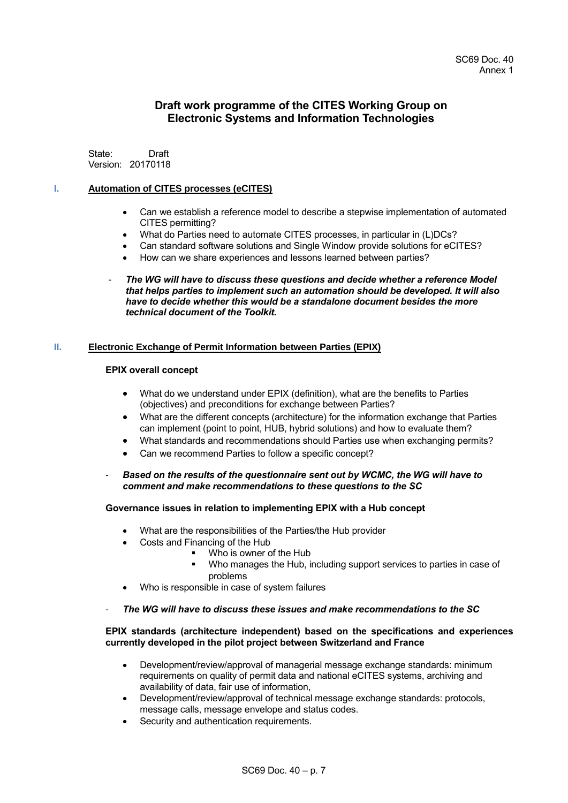# **Draft work programme of the CITES Working Group on Electronic Systems and Information Technologies**

State: Draft Version: 20170118

## **I. Automation of CITES processes (eCITES)**

- Can we establish a reference model to describe a stepwise implementation of automated CITES permitting?
- What do Parties need to automate CITES processes, in particular in (L)DCs?
- Can standard software solutions and Single Window provide solutions for eCITES?
- How can we share experiences and lessons learned between parties?
- *The WG will have to discuss these questions and decide whether a reference Model that helps parties to implement such an automation should be developed. It will also have to decide whether this would be a standalone document besides the more technical document of the Toolkit.*

#### **II. Electronic Exchange of Permit Information between Parties (EPIX)**

## **EPIX overall concept**

- What do we understand under EPIX (definition), what are the benefits to Parties (objectives) and preconditions for exchange between Parties?
- What are the different concepts (architecture) for the information exchange that Parties can implement (point to point, HUB, hybrid solutions) and how to evaluate them?
- What standards and recommendations should Parties use when exchanging permits?
- Can we recommend Parties to follow a specific concept?
- *Based on the results of the questionnaire sent out by WCMC, the WG will have to comment and make recommendations to these questions to the SC*

#### **Governance issues in relation to implementing EPIX with a Hub concept**

- What are the responsibilities of the Parties/the Hub provider
- Costs and Financing of the Hub
	- Who is owner of the Hub
	- Who manages the Hub, including support services to parties in case of problems
- Who is responsible in case of system failures
- *The WG will have to discuss these issues and make recommendations to the SC*

#### **EPIX standards (architecture independent) based on the specifications and experiences currently developed in the pilot project between Switzerland and France**

- Development/review/approval of managerial message exchange standards: minimum requirements on quality of permit data and national eCITES systems, archiving and availability of data, fair use of information,
- Development/review/approval of technical message exchange standards: protocols, message calls, message envelope and status codes.
- Security and authentication requirements.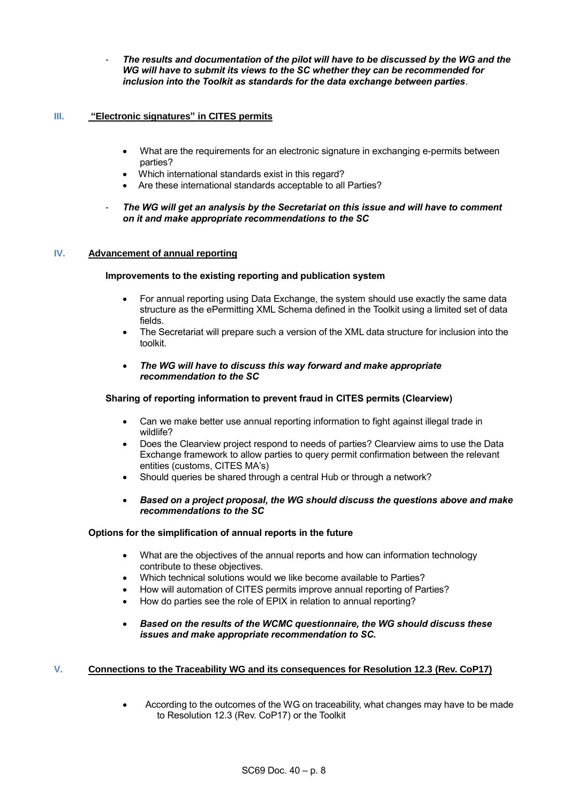- *The results and documentation of the pilot will have to be discussed by the WG and the WG will have to submit its views to the SC whether they can be recommended for inclusion into the Toolkit as standards for the data exchange between parties*.

## **III. "Electronic signatures" in CITES permits**

- What are the requirements for an electronic signature in exchanging e-permits between parties?
- Which international standards exist in this regard?
- Are these international standards acceptable to all Parties?
- *The WG will get an analysis by the Secretariat on this issue and will have to comment on it and make appropriate recommendations to the SC*

#### **IV. Advancement of annual reporting**

## **Improvements to the existing reporting and publication system**

- For annual reporting using Data Exchange, the system should use exactly the same data structure as the ePermitting XML Schema defined in the Toolkit using a limited set of data fields.
- The Secretariat will prepare such a version of the XML data structure for inclusion into the toolkit.
- *The WG will have to discuss this way forward and make appropriate recommendation to the SC*

### **Sharing of reporting information to prevent fraud in CITES permits (Clearview)**

- Can we make better use annual reporting information to fight against illegal trade in wildlife?
- Does the Clearview project respond to needs of parties? Clearview aims to use the Data Exchange framework to allow parties to query permit confirmation between the relevant entities (customs, CITES MA's)
- Should queries be shared through a central Hub or through a network?
- *Based on a project proposal, the WG should discuss the questions above and make recommendations to the SC*

#### **Options for the simplification of annual reports in the future**

- What are the objectives of the annual reports and how can information technology contribute to these objectives.
- Which technical solutions would we like become available to Parties?
- How will automation of CITES permits improve annual reporting of Parties?
- How do parties see the role of EPIX in relation to annual reporting?
- *Based on the results of the WCMC questionnaire, the WG should discuss these issues and make appropriate recommendation to SC.*

# **V. Connections to the Traceability WG and its consequences for Resolution 12.3 (Rev. CoP17)**

According to the outcomes of the WG on traceability, what changes may have to be made to Resolution 12.3 (Rev. CoP17) or the Toolkit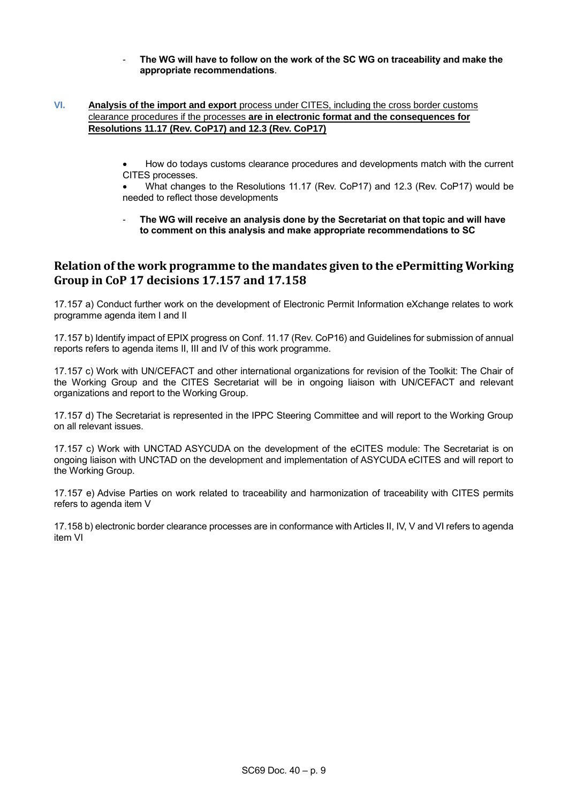- **The WG will have to follow on the work of the SC WG on traceability and make the appropriate recommendations**.

# **VI. Analysis of the import and export** process under CITES, including the cross border customs clearance procedures if the processes **are in electronic format and the consequences for Resolutions 11.17 (Rev. CoP17) and 12.3 (Rev. CoP17)**

How do todays customs clearance procedures and developments match with the current CITES processes.

What changes to the Resolutions 11.17 (Rev. CoP17) and 12.3 (Rev. CoP17) would be needed to reflect those developments

- **The WG will receive an analysis done by the Secretariat on that topic and will have to comment on this analysis and make appropriate recommendations to SC** 

# **Relation of the work programme to the mandates given to the ePermitting Working Group in CoP 17 decisions 17.157 and 17.158**

17.157 a) Conduct further work on the development of Electronic Permit Information eXchange relates to work programme agenda item I and II

17.157 b) Identify impact of EPIX progress on Conf. 11.17 (Rev. CoP16) and Guidelines for submission of annual reports refers to agenda items II, III and IV of this work programme.

17.157 c) Work with UN/CEFACT and other international organizations for revision of the Toolkit: The Chair of the Working Group and the CITES Secretariat will be in ongoing liaison with UN/CEFACT and relevant organizations and report to the Working Group.

17.157 d) The Secretariat is represented in the IPPC Steering Committee and will report to the Working Group on all relevant issues.

17.157 c) Work with UNCTAD ASYCUDA on the development of the eCITES module: The Secretariat is on ongoing liaison with UNCTAD on the development and implementation of ASYCUDA eCITES and will report to the Working Group.

17.157 e) Advise Parties on work related to traceability and harmonization of traceability with CITES permits refers to agenda item V

17.158 b) electronic border clearance processes are in conformance with Articles II, IV, V and VI refers to agenda item VI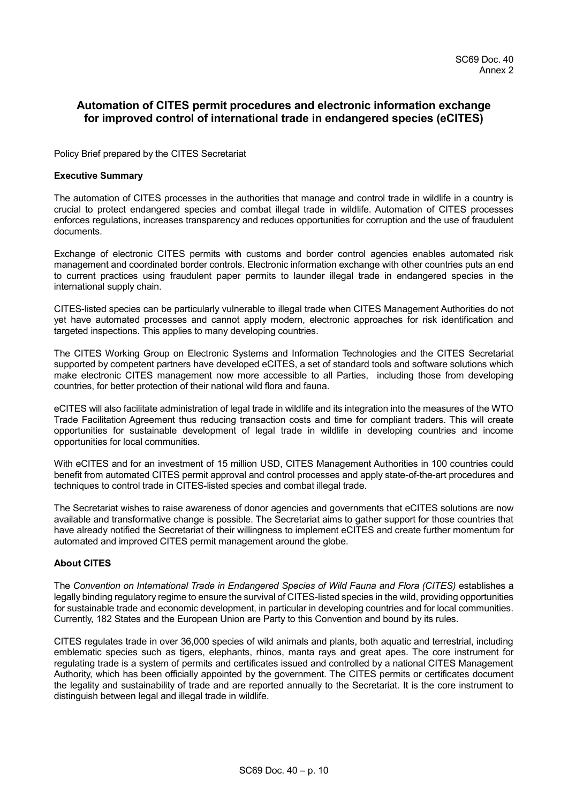# **Automation of CITES permit procedures and electronic information exchange for improved control of international trade in endangered species (eCITES)**

Policy Brief prepared by the CITES Secretariat

### **Executive Summary**

The automation of CITES processes in the authorities that manage and control trade in wildlife in a country is crucial to protect endangered species and combat illegal trade in wildlife. Automation of CITES processes enforces regulations, increases transparency and reduces opportunities for corruption and the use of fraudulent documents.

Exchange of electronic CITES permits with customs and border control agencies enables automated risk management and coordinated border controls. Electronic information exchange with other countries puts an end to current practices using fraudulent paper permits to launder illegal trade in endangered species in the international supply chain.

CITES-listed species can be particularly vulnerable to illegal trade when CITES Management Authorities do not yet have automated processes and cannot apply modern, electronic approaches for risk identification and targeted inspections. This applies to many developing countries.

The CITES Working Group on Electronic Systems and Information Technologies and the CITES Secretariat supported by competent partners have developed eCITES, a set of standard tools and software solutions which make electronic CITES management now more accessible to all Parties, including those from developing countries, for better protection of their national wild flora and fauna.

eCITES will also facilitate administration of legal trade in wildlife and its integration into the measures of the WTO Trade Facilitation Agreement thus reducing transaction costs and time for compliant traders. This will create opportunities for sustainable development of legal trade in wildlife in developing countries and income opportunities for local communities.

With eCITES and for an investment of 15 million USD, CITES Management Authorities in 100 countries could benefit from automated CITES permit approval and control processes and apply state-of-the-art procedures and techniques to control trade in CITES-listed species and combat illegal trade.

The Secretariat wishes to raise awareness of donor agencies and governments that eCITES solutions are now available and transformative change is possible. The Secretariat aims to gather support for those countries that have already notified the Secretariat of their willingness to implement eCITES and create further momentum for automated and improved CITES permit management around the globe.

# **About CITES**

The *Convention on International Trade in Endangered Species of Wild Fauna and Flora (CITES)* establishes a legally binding regulatory regime to ensure the survival of CITES-listed species in the wild, providing opportunities for sustainable trade and economic development, in particular in developing countries and for local communities. Currently, 182 States and the European Union are Party to this Convention and bound by its rules.

CITES regulates trade in over 36,000 species of wild animals and plants, both aquatic and terrestrial, including emblematic species such as tigers, elephants, rhinos, manta rays and great apes. The core instrument for regulating trade is a system of permits and certificates issued and controlled by a national CITES Management Authority, which has been officially appointed by the government. The CITES permits or certificates document the legality and sustainability of trade and are reported annually to the Secretariat. It is the core instrument to distinguish between legal and illegal trade in wildlife.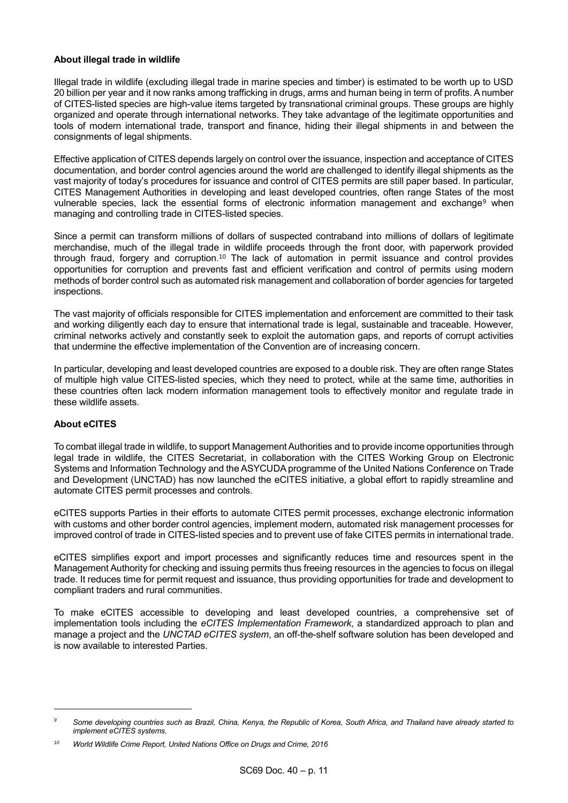## **About illegal trade in wildlife**

Illegal trade in wildlife (excluding illegal trade in marine species and timber) is estimated to be worth up to USD 20 billion per year and it now ranks among trafficking in drugs, arms and human being in term of profits. A number of CITES-listed species are high-value items targeted by transnational criminal groups. These groups are highly organized and operate through international networks. They take advantage of the legitimate opportunities and tools of modern international trade, transport and finance, hiding their illegal shipments in and between the consignments of legal shipments.

Effective application of CITES depends largely on control over the issuance, inspection and acceptance of CITES documentation, and border control agencies around the world are challenged to identify illegal shipments as the vast majority of today's procedures for issuance and control of CITES permits are still paper based. In particular, CITES Management Authorities in developing and least developed countries, often range States of the most vulnerable species, lack the essential forms of electronic information management and exchange<sup>9</sup> when managing and controlling trade in CITES-listed species.

Since a permit can transform millions of dollars of suspected contraband into millions of dollars of legitimate merchandise, much of the illegal trade in wildlife proceeds through the front door, with paperwork provided through fraud, forgery and corruption.<sup>10</sup> The lack of automation in permit issuance and control provides opportunities for corruption and prevents fast and efficient verification and control of permits using modern methods of border control such as automated risk management and collaboration of border agencies for targeted inspections.

The vast majority of officials responsible for CITES implementation and enforcement are committed to their task and working diligently each day to ensure that international trade is legal, sustainable and traceable. However, criminal networks actively and constantly seek to exploit the automation gaps, and reports of corrupt activities that undermine the effective implementation of the Convention are of increasing concern.

In particular, developing and least developed countries are exposed to a double risk. They are often range States of multiple high value CITES-listed species, which they need to protect, while at the same time, authorities in these countries often lack modern information management tools to effectively monitor and regulate trade in these wildlife assets.

# **About eCITES**

-

To combat illegal trade in wildlife, to support Management Authorities and to provide income opportunities through legal trade in wildlife, the CITES Secretariat, in collaboration with the CITES Working Group on Electronic Systems and Information Technology and the ASYCUDA programme of the United Nations Conference on Trade and Development (UNCTAD) has now launched the eCITES initiative, a global effort to rapidly streamline and automate CITES permit processes and controls.

eCITES supports Parties in their efforts to automate CITES permit processes, exchange electronic information with customs and other border control agencies, implement modern, automated risk management processes for improved control of trade in CITES-listed species and to prevent use of fake CITES permits in international trade.

eCITES simplifies export and import processes and significantly reduces time and resources spent in the Management Authority for checking and issuing permits thus freeing resources in the agencies to focus on illegal trade. It reduces time for permit request and issuance, thus providing opportunities for trade and development to compliant traders and rural communities.

To make eCITES accessible to developing and least developed countries, a comprehensive set of implementation tools including the *eCITES Implementation Framework*, a standardized approach to plan and manage a project and the *UNCTAD eCITES system*, an off-the-shelf software solution has been developed and is now available to interested Parties.

*<sup>9</sup> Some developing countries such as Brazil, China, Kenya, the Republic of Korea, South Africa, and Thailand have already started to implement eCITES systems.* 

*<sup>10</sup> World Wildlife Crime Report, United Nations Office on Drugs and Crime, 2016*